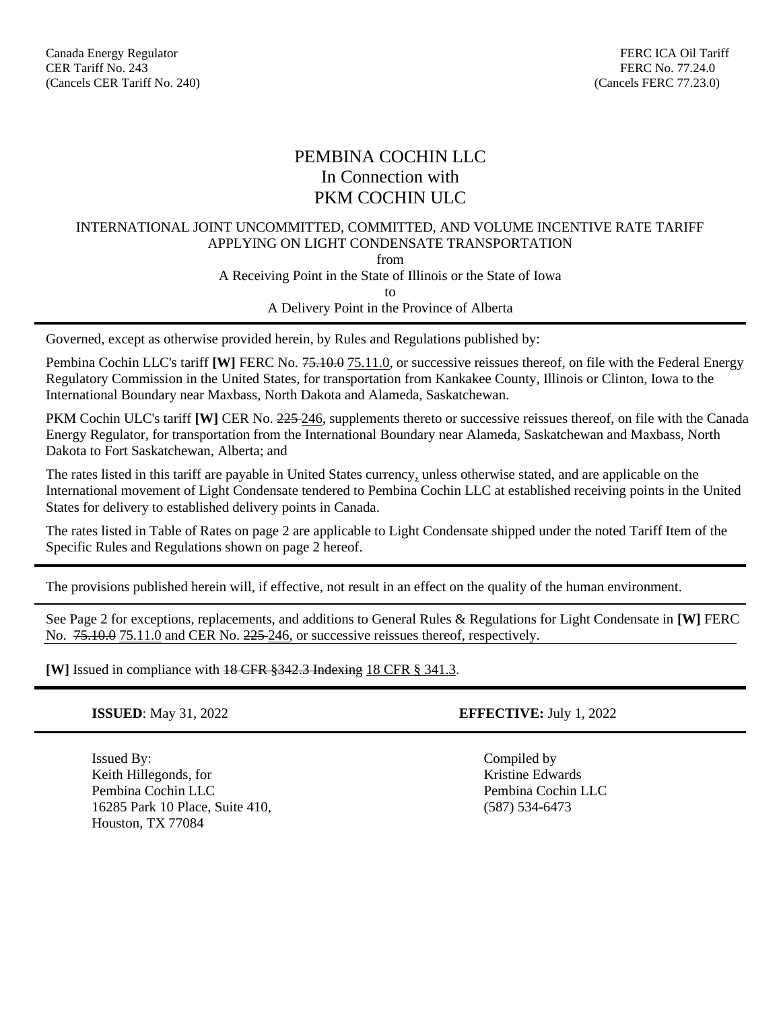# PEMBINA COCHIN LLC In Connection with PKM COCHIN ULC

### INTERNATIONAL JOINT UNCOMMITTED, COMMITTED, AND VOLUME INCENTIVE RATE TARIFF APPLYING ON LIGHT CONDENSATE TRANSPORTATION

from

A Receiving Point in the State of Illinois or the State of Iowa

to

A Delivery Point in the Province of Alberta

Governed, except as otherwise provided herein, by Rules and Regulations published by:

Pembina Cochin LLC's tariff **[W]** FERC No. <del>75.10.0</del> 75.11.0, or successive reissues thereof, on file with the Federal Energy Regulatory Commission in the United States, for transportation from Kankakee County, Illinois or Clinton, Iowa to the International Boundary near Maxbass, North Dakota and Alameda, Saskatchewan.

PKM Cochin ULC's tariff **[W]** CER No.  $225-246$ , supplements thereto or successive reissues thereof, on file with the Canada Energy Regulator, for transportation from the International Boundary near Alameda, Saskatchewan and Maxbass, North Dakota to Fort Saskatchewan, Alberta; and

The rates listed in this tariff are payable in United States currency, unless otherwise stated, and are applicable on the International movement of Light Condensate tendered to Pembina Cochin LLC at established receiving points in the United States for delivery to established delivery points in Canada.

The rates listed in Table of Rates on page 2 are applicable to Light Condensate shipped under the noted Tariff Item of the Specific Rules and Regulations shown on page 2 hereof.

The provisions published herein will, if effective, not result in an effect on the quality of the human environment.

See Page 2 for exceptions, replacements, and additions to General Rules & Regulations for Light Condensate in **[W]** FERC No.  $75.10.0$  75.11.0 and CER No. 225-246, or successive reissues thereof, respectively.

**[W]** Issued in compliance with 18 CFR §342.3 Indexing 18 CFR § 341.3.

Issued By: Compiled by Keith Hillegonds, for Edwards and The Kristine Edwards Edwards Pembina Cochin LLC Pembina Cochin LLC 16285 Park 10 Place, Suite 410, (587) 534-6473 Houston, TX 77084

**ISSUED**: May 31, 2022 **EFFECTIVE:** July 1, 2022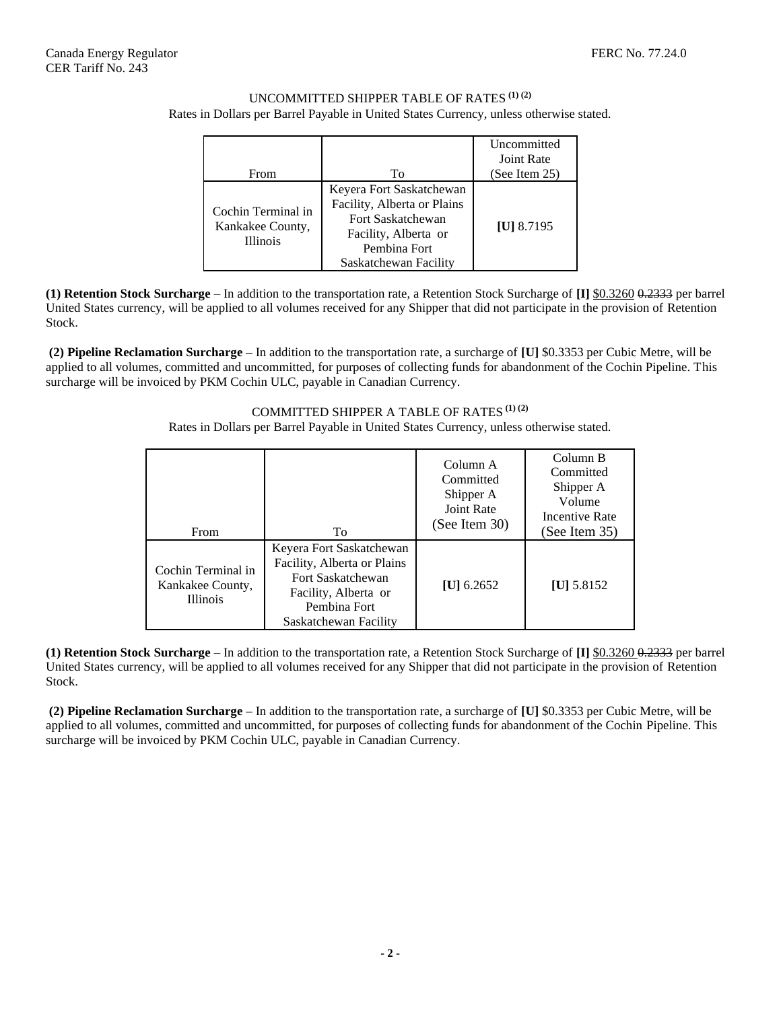### UNCOMMITTED SHIPPER TABLE OF RATES **(1) (2)** Rates in Dollars per Barrel Payable in United States Currency, unless otherwise stated.

| From                                                      | Tο                                                                                                                                            | Uncommitted<br><b>Joint Rate</b><br>(See Item 25) |
|-----------------------------------------------------------|-----------------------------------------------------------------------------------------------------------------------------------------------|---------------------------------------------------|
| Cochin Terminal in<br>Kankakee County,<br><b>Illinois</b> | Keyera Fort Saskatchewan<br>Facility, Alberta or Plains<br>Fort Saskatchewan<br>Facility, Alberta or<br>Pembina Fort<br>Saskatchewan Facility | [ <b>U</b> ] 8.7195                               |

**(1) Retention Stock Surcharge** – In addition to the transportation rate, a Retention Stock Surcharge of **[I]** \$0.3260 0.2333 per barrel United States currency, will be applied to all volumes received for any Shipper that did not participate in the provision of Retention Stock.

**(2) Pipeline Reclamation Surcharge –** In addition to the transportation rate, a surcharge of **[U]** \$0.3353 per Cubic Metre, will be applied to all volumes, committed and uncommitted, for purposes of collecting funds for abandonment of the Cochin Pipeline. This surcharge will be invoiced by PKM Cochin ULC, payable in Canadian Currency.

COMMITTED SHIPPER A TABLE OF RATES **(1) (2)**

Rates in Dollars per Barrel Payable in United States Currency, unless otherwise stated.

| From                                                      | To                                                                                                                                                   | Column A<br>Committed<br>Shipper A<br>Joint Rate<br>(See Item 30) | Column B<br>Committed<br>Shipper A<br>Volume<br>Incentive Rate<br>(See Item 35) |
|-----------------------------------------------------------|------------------------------------------------------------------------------------------------------------------------------------------------------|-------------------------------------------------------------------|---------------------------------------------------------------------------------|
| Cochin Terminal in<br>Kankakee County,<br><b>Illinois</b> | Keyera Fort Saskatchewan<br>Facility, Alberta or Plains<br><b>Fort Saskatchewan</b><br>Facility, Alberta or<br>Pembina Fort<br>Saskatchewan Facility | [U] $6.2652$                                                      | [ <b>U</b> ] 5.8152                                                             |

**(1) Retention Stock Surcharge** – In addition to the transportation rate, a Retention Stock Surcharge of **[I]** \$0.3260 0.2333 per barrel United States currency, will be applied to all volumes received for any Shipper that did not participate in the provision of Retention Stock.

**(2) Pipeline Reclamation Surcharge –** In addition to the transportation rate, a surcharge of **[U]** \$0.3353 per Cubic Metre, will be applied to all volumes, committed and uncommitted, for purposes of collecting funds for abandonment of the Cochin Pipeline. This surcharge will be invoiced by PKM Cochin ULC, payable in Canadian Currency.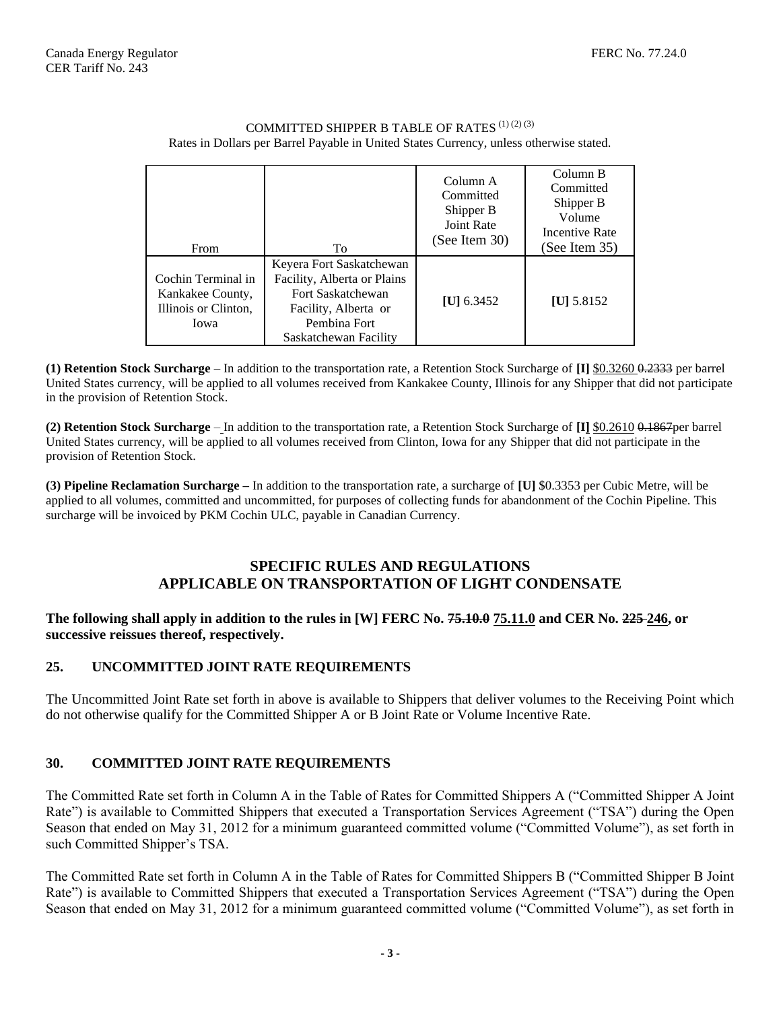| From                                                                   | To                                                                                                                                            | Column A<br>Committed<br>Shipper B<br>Joint Rate<br>(See Item 30) | Column B<br>Committed<br>Shipper B<br>Volume<br><b>Incentive Rate</b><br>(See Item 35) |
|------------------------------------------------------------------------|-----------------------------------------------------------------------------------------------------------------------------------------------|-------------------------------------------------------------------|----------------------------------------------------------------------------------------|
| Cochin Terminal in<br>Kankakee County,<br>Illinois or Clinton,<br>Iowa | Keyera Fort Saskatchewan<br>Facility, Alberta or Plains<br>Fort Saskatchewan<br>Facility, Alberta or<br>Pembina Fort<br>Saskatchewan Facility | [ <b>U</b> ] 6.3452                                               | [U] $5.8152$                                                                           |

#### COMMITTED SHIPPER B TABLE OF RATES  $(1)$   $(2)$   $(3)$ Rates in Dollars per Barrel Payable in United States Currency, unless otherwise stated.

**(1) Retention Stock Surcharge** – In addition to the transportation rate, a Retention Stock Surcharge of **[I]** \$0.3260 0.2333 per barrel United States currency, will be applied to all volumes received from Kankakee County, Illinois for any Shipper that did not participate in the provision of Retention Stock.

**(2) Retention Stock Surcharge** – In addition to the transportation rate, a Retention Stock Surcharge of **[I]** \$0.2610 0.1867per barrel United States currency, will be applied to all volumes received from Clinton, Iowa for any Shipper that did not participate in the provision of Retention Stock.

**(3) Pipeline Reclamation Surcharge –** In addition to the transportation rate, a surcharge of **[U]** \$0.3353 per Cubic Metre, will be applied to all volumes, committed and uncommitted, for purposes of collecting funds for abandonment of the Cochin Pipeline. This surcharge will be invoiced by PKM Cochin ULC, payable in Canadian Currency.

# **SPECIFIC RULES AND REGULATIONS APPLICABLE ON TRANSPORTATION OF LIGHT CONDENSATE**

### **The following shall apply in addition to the rules in [W] FERC No. 75.10.0 75.11.0 and CER No. 225 246, or successive reissues thereof, respectively.**

# **25. UNCOMMITTED JOINT RATE REQUIREMENTS**

The Uncommitted Joint Rate set forth in above is available to Shippers that deliver volumes to the Receiving Point which do not otherwise qualify for the Committed Shipper A or B Joint Rate or Volume Incentive Rate.

# **30. COMMITTED JOINT RATE REQUIREMENTS**

The Committed Rate set forth in Column A in the Table of Rates for Committed Shippers A ("Committed Shipper A Joint Rate") is available to Committed Shippers that executed a Transportation Services Agreement ("TSA") during the Open Season that ended on May 31, 2012 for a minimum guaranteed committed volume ("Committed Volume"), as set forth in such Committed Shipper's TSA.

The Committed Rate set forth in Column A in the Table of Rates for Committed Shippers B ("Committed Shipper B Joint Rate") is available to Committed Shippers that executed a Transportation Services Agreement ("TSA") during the Open Season that ended on May 31, 2012 for a minimum guaranteed committed volume ("Committed Volume"), as set forth in